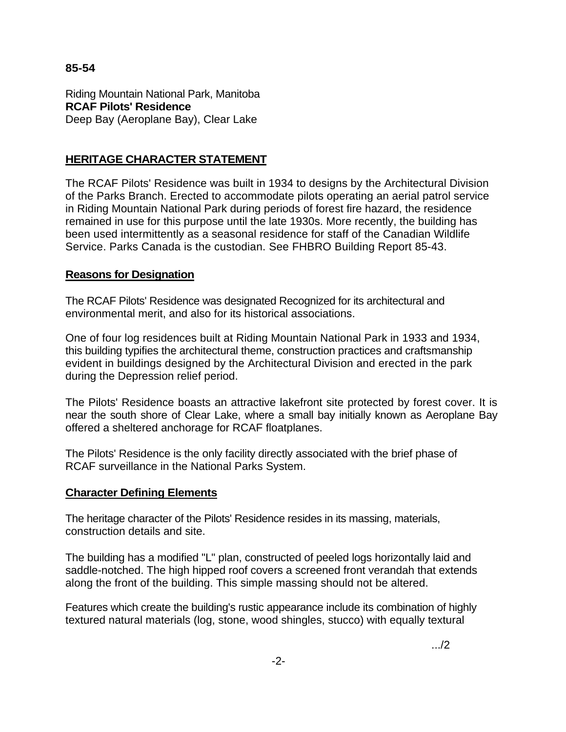## **85-54**

Riding Mountain National Park, Manitoba **RCAF Pilots' Residence**  Deep Bay (Aeroplane Bay), Clear Lake

## **HERITAGE CHARACTER STATEMENT**

The RCAF Pilots' Residence was built in 1934 to designs by the Architectural Division of the Parks Branch. Erected to accommodate pilots operating an aerial patrol service in Riding Mountain National Park during periods of forest fire hazard, the residence remained in use for this purpose until the late 1930s. More recently, the building has been used intermittently as a seasonal residence for staff of the Canadian Wildlife Service. Parks Canada is the custodian. See FHBRO Building Report 85-43.

## **Reasons for Designation**

The RCAF Pilots' Residence was designated Recognized for its architectural and environmental merit, and also for its historical associations.

One of four log residences built at Riding Mountain National Park in 1933 and 1934, this building typifies the architectural theme, construction practices and craftsmanship evident in buildings designed by the Architectural Division and erected in the park during the Depression relief period.

The Pilots' Residence boasts an attractive lakefront site protected by forest cover. It is near the south shore of Clear Lake, where a small bay initially known as Aeroplane Bay offered a sheltered anchorage for RCAF floatplanes.

The Pilots' Residence is the only facility directly associated with the brief phase of RCAF surveillance in the National Parks System.

## **Character Defining Elements**

The heritage character of the Pilots' Residence resides in its massing, materials, construction details and site.

The building has a modified "L" plan, constructed of peeled logs horizontally laid and saddle-notched. The high hipped roof covers a screened front verandah that extends along the front of the building. This simple massing should not be altered.

Features which create the building's rustic appearance include its combination of highly textured natural materials (log, stone, wood shingles, stucco) with equally textural

.../2